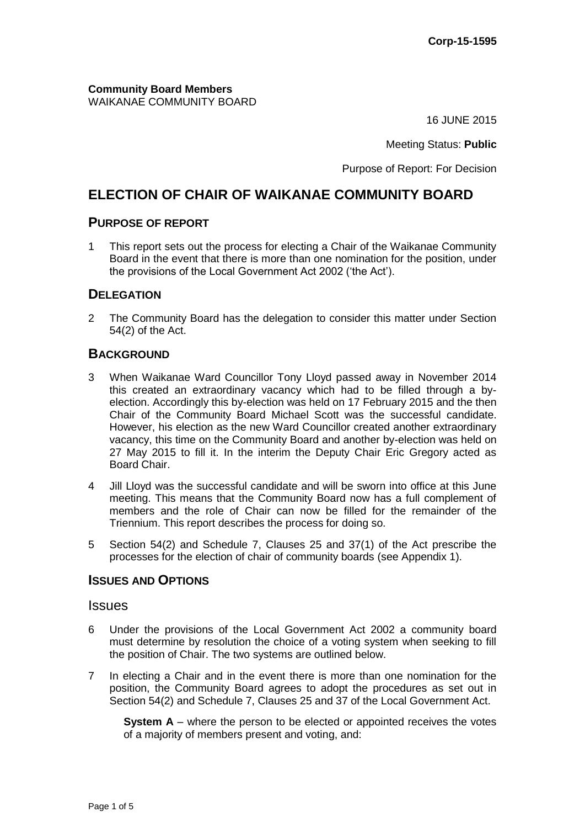**Community Board Members** WAIKANAE COMMUNITY BOARD

16 JUNE 2015

Meeting Status: **Public**

Purpose of Report: For Decision

# **ELECTION OF CHAIR OF WAIKANAE COMMUNITY BOARD**

### **PURPOSE OF REPORT**

1 This report sets out the process for electing a Chair of the Waikanae Community Board in the event that there is more than one nomination for the position, under the provisions of the Local Government Act 2002 ('the Act').

### **DELEGATION**

2 The Community Board has the delegation to consider this matter under Section 54(2) of the Act.

### **BACKGROUND**

- 3 When Waikanae Ward Councillor Tony Lloyd passed away in November 2014 this created an extraordinary vacancy which had to be filled through a byelection. Accordingly this by-election was held on 17 February 2015 and the then Chair of the Community Board Michael Scott was the successful candidate. However, his election as the new Ward Councillor created another extraordinary vacancy, this time on the Community Board and another by-election was held on 27 May 2015 to fill it. In the interim the Deputy Chair Eric Gregory acted as Board Chair.
- 4 Jill Lloyd was the successful candidate and will be sworn into office at this June meeting. This means that the Community Board now has a full complement of members and the role of Chair can now be filled for the remainder of the Triennium. This report describes the process for doing so.
- 5 Section 54(2) and Schedule 7, Clauses 25 and 37(1) of the Act prescribe the processes for the election of chair of community boards (see Appendix 1).

#### **ISSUES AND OPTIONS**

#### **Issues**

- 6 Under the provisions of the Local Government Act 2002 a community board must determine by resolution the choice of a voting system when seeking to fill the position of Chair. The two systems are outlined below.
- 7 In electing a Chair and in the event there is more than one nomination for the position, the Community Board agrees to adopt the procedures as set out in Section 54(2) and Schedule 7, Clauses 25 and 37 of the Local Government Act.

**System A** – where the person to be elected or appointed receives the votes of a majority of members present and voting, and: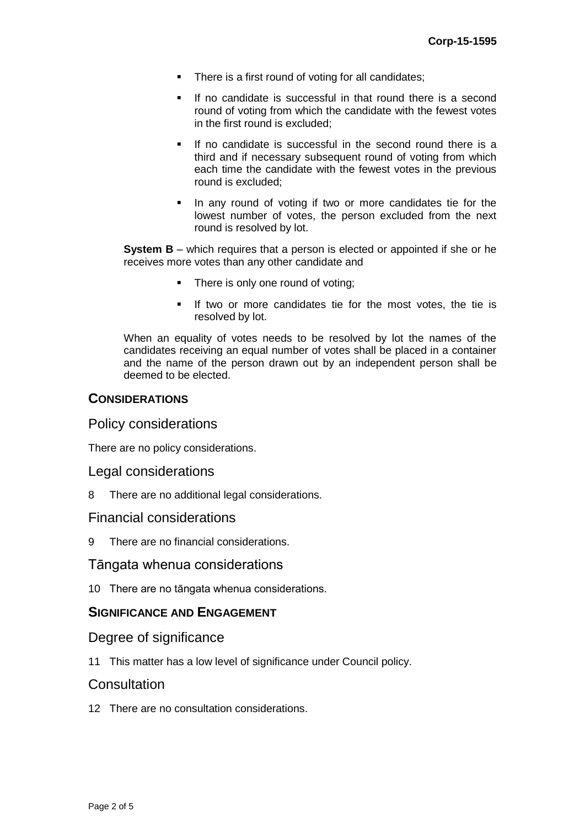- There is a first round of voting for all candidates;
- If no candidate is successful in that round there is a second round of voting from which the candidate with the fewest votes in the first round is excluded;
- If no candidate is successful in the second round there is a third and if necessary subsequent round of voting from which each time the candidate with the fewest votes in the previous round is excluded;
- In any round of voting if two or more candidates tie for the lowest number of votes, the person excluded from the next round is resolved by lot.

**System B** – which requires that a person is elected or appointed if she or he receives more votes than any other candidate and

- There is only one round of voting;
- If two or more candidates tie for the most votes, the tie is resolved by lot.

When an equality of votes needs to be resolved by lot the names of the candidates receiving an equal number of votes shall be placed in a container and the name of the person drawn out by an independent person shall be deemed to be elected.

#### **CONSIDERATIONS**

#### Policy considerations

There are no policy considerations.

#### Legal considerations

8 There are no additional legal considerations.

## Financial considerations

9 There are no financial considerations.

## Tāngata whenua considerations

10 There are no tāngata whenua considerations.

## **SIGNIFICANCE AND ENGAGEMENT**

#### Degree of significance

11 This matter has a low level of significance under Council policy.

#### **Consultation**

12 There are no consultation considerations.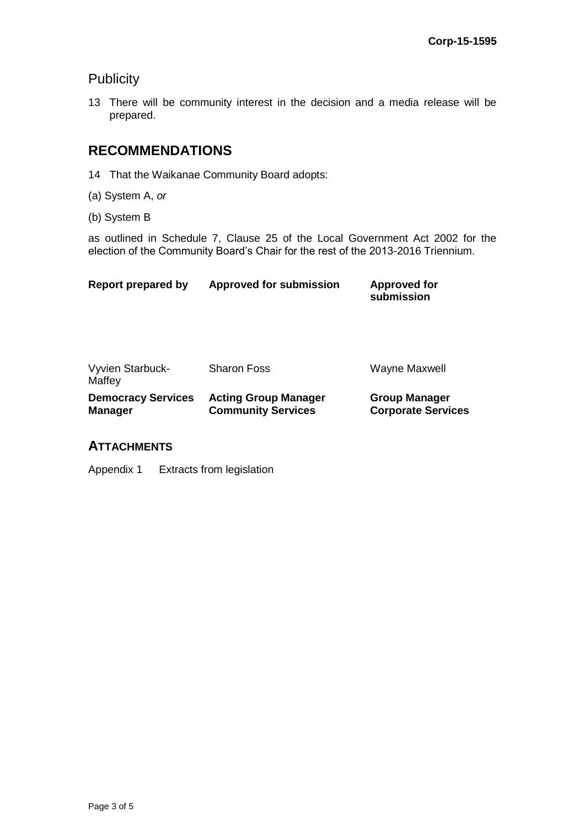# **Publicity**

13 There will be community interest in the decision and a media release will be prepared.

# **RECOMMENDATIONS**

- 14 That the Waikanae Community Board adopts:
- (a) System A, *or*
- (b) System B

as outlined in Schedule 7, Clause 25 of the Local Government Act 2002 for the election of the Community Board's Chair for the rest of the 2013-2016 Triennium.

| Report prepared by | Approved for submission | <b>Approved for</b><br>submission |
|--------------------|-------------------------|-----------------------------------|
|                    |                         |                                   |

| <b>Vyvien Starbuck-</b><br>Maffey | <b>Sharon Foss</b>          | Wayne Maxwell             |
|-----------------------------------|-----------------------------|---------------------------|
| <b>Democracy Services</b>         | <b>Acting Group Manager</b> | <b>Group Manager</b>      |
| <b>Manager</b>                    | <b>Community Services</b>   | <b>Corporate Services</b> |

# **ATTACHMENTS**

Appendix 1 Extracts from legislation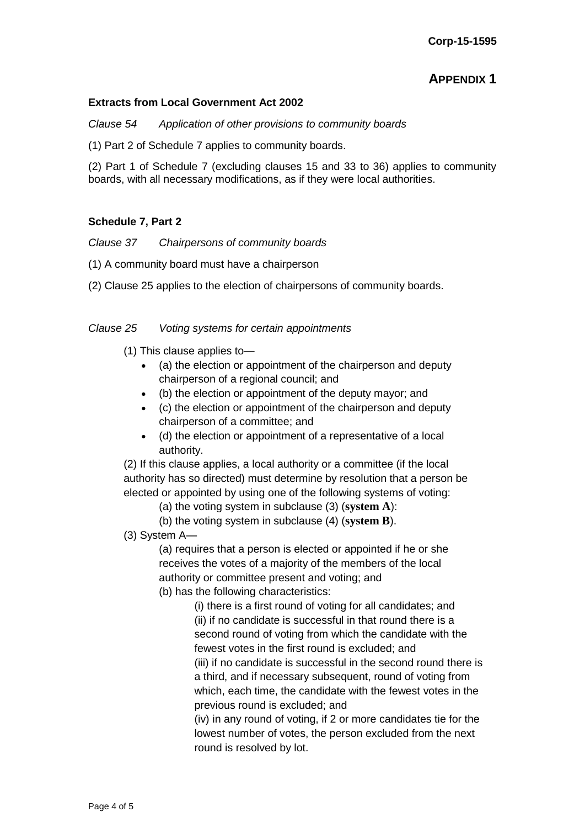# **APPENDIX 1**

#### **Extracts from Local Government Act 2002**

*Clause 54 Application of other provisions to community boards*

(1) Part 2 of Schedule 7 applies to community boards.

(2) Part 1 of Schedule 7 (excluding clauses 15 and 33 to 36) applies to community boards, with all necessary modifications, as if they were local authorities.

#### **Schedule 7, Part 2**

*Clause 37 Chairpersons of community boards*

- (1) A community board must have a chairperson
- (2) Clause 25 applies to the election of chairpersons of community boards.

#### *Clause 25 Voting systems for certain appointments*

(1) This clause applies to—

- (a) the election or appointment of the chairperson and deputy chairperson of a regional council; and
- (b) the election or appointment of the deputy mayor; and
- (c) the election or appointment of the chairperson and deputy chairperson of a committee; and
- (d) the election or appointment of a representative of a local authority.

(2) If this clause applies, a local authority or a committee (if the local authority has so directed) must determine by resolution that a person be elected or appointed by using one of the following systems of voting:

- (a) the voting system in subclause (3) (**system A**):
- (b) the voting system in subclause (4) (**system B**).

(3) System A—

(a) requires that a person is elected or appointed if he or she receives the votes of a majority of the members of the local authority or committee present and voting; and

(b) has the following characteristics:

(i) there is a first round of voting for all candidates; and (ii) if no candidate is successful in that round there is a second round of voting from which the candidate with the fewest votes in the first round is excluded; and (iii) if no candidate is successful in the second round there is a third, and if necessary subsequent, round of voting from which, each time, the candidate with the fewest votes in the previous round is excluded; and

(iv) in any round of voting, if 2 or more candidates tie for the lowest number of votes, the person excluded from the next round is resolved by lot.